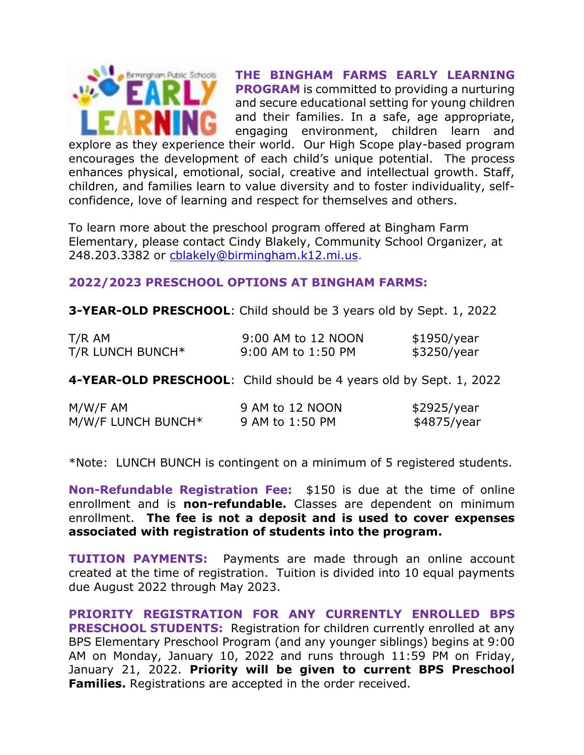

**THE BINGHAM FARMS EARLY LEARNING PROGRAM** is committed to providing a nurturing and secure educational setting for young children and their families. In a safe, age appropriate, engaging environment, children learn and

explore as they experience their world. Our High Scope play-based program encourages the development of each child's unique potential. The process enhances physical, emotional, social, creative and intellectual growth. Staff, children, and families learn to value diversity and to foster individuality, selfconfidence, love of learning and respect for themselves and others.

To learn more about the preschool program offered at Bingham Farm Elementary, please contact Cindy Blakely, Community School Organizer, at 248.203.3382 or [cblakely@birmingham.k12.mi.us.](mailto:cblakely@birmingham.k12.mi.us)

### **2022/2023 PRESCHOOL OPTIONS AT BINGHAM FARMS:**

**3-YEAR-OLD PRESCHOOL**: Child should be 3 years old by Sept. 1, 2022

| T/R AM             | 9:00 AM to 12 NOON                                                 | \$1950/year |
|--------------------|--------------------------------------------------------------------|-------------|
| T/R LUNCH BUNCH*   | 9:00 AM to 1:50 PM                                                 | \$3250/year |
|                    | 4-YEAR-OLD PRESCHOOL: Child should be 4 years old by Sept. 1, 2022 |             |
| M/W/F AM           | 9 AM to 12 NOON                                                    | \$2925/year |
| M/W/F LUNCH BUNCH* | 9 AM to 1:50 PM                                                    | \$4875/year |

\*Note: LUNCH BUNCH is contingent on a minimum of 5 registered students.

**Non-Refundable Registration Fee:** \$150 is due at the time of online enrollment and is **non-refundable.** Classes are dependent on minimum enrollment. **The fee is not a deposit and is used to cover expenses associated with registration of students into the program.**

**TUITION PAYMENTS:** Payments are made through an online account created at the time of registration. Tuition is divided into 10 equal payments due August 2022 through May 2023.

**PRIORITY REGISTRATION FOR ANY CURRENTLY ENROLLED BPS PRESCHOOL STUDENTS:** Registration for children currently enrolled at any BPS Elementary Preschool Program (and any younger siblings) begins at 9:00 AM on Monday, January 10, 2022 and runs through 11:59 PM on Friday, January 21, 2022. **Priority will be given to current BPS Preschool Families.** Registrations are accepted in the order received.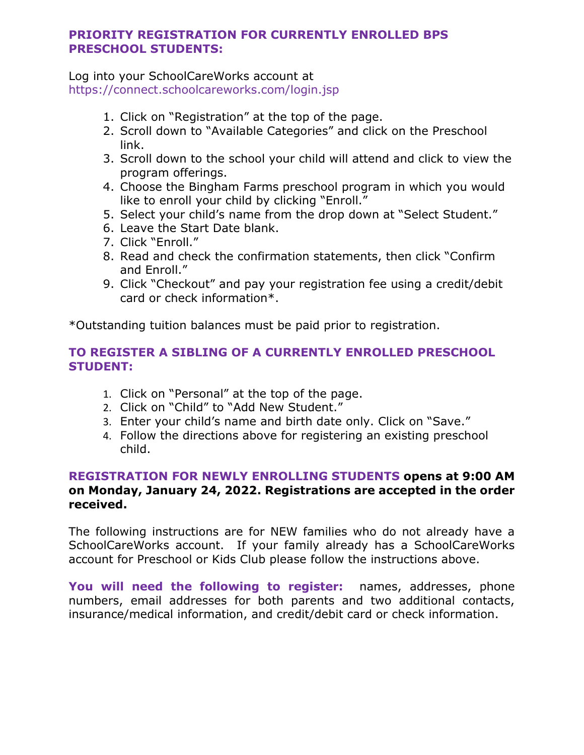## **PRIORITY REGISTRATION FOR CURRENTLY ENROLLED BPS PRESCHOOL STUDENTS:**

Log into your SchoolCareWorks account at https://connect.schoolcareworks.com/login.jsp

- 1. Click on "Registration" at the top of the page.
- 2. Scroll down to "Available Categories" and click on the Preschool link.
- 3. Scroll down to the school your child will attend and click to view the program offerings.
- 4. Choose the Bingham Farms preschool program in which you would like to enroll your child by clicking "Enroll."
- 5. Select your child's name from the drop down at "Select Student."
- 6. Leave the Start Date blank.
- 7. Click "Enroll."
- 8. Read and check the confirmation statements, then click "Confirm and Enroll."
- 9. Click "Checkout" and pay your registration fee using a credit/debit card or check information\*.

\*Outstanding tuition balances must be paid prior to registration.

# **TO REGISTER A SIBLING OF A CURRENTLY ENROLLED PRESCHOOL STUDENT:**

- 1. Click on "Personal" at the top of the page.
- 2. Click on "Child" to "Add New Student."
- 3. Enter your child's name and birth date only. Click on "Save."
- 4. Follow the directions above for registering an existing preschool child.

# **REGISTRATION FOR NEWLY ENROLLING STUDENTS opens at 9:00 AM on Monday, January 24, 2022. Registrations are accepted in the order received.**

The following instructions are for NEW families who do not already have a SchoolCareWorks account. If your family already has a SchoolCareWorks account for Preschool or Kids Club please follow the instructions above.

**You will need the following to register:** names, addresses, phone numbers, email addresses for both parents and two additional contacts, insurance/medical information, and credit/debit card or check information.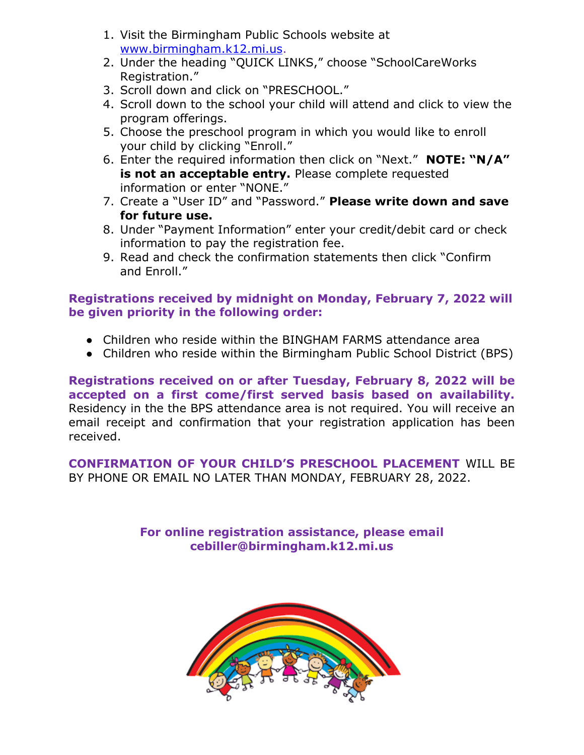- 1. Visit the Birmingham Public Schools website at [www.birmingham.k12.mi.us.](http://www.birmingham.k12.mi.us/)
- 2. Under the heading "QUICK LINKS," choose "SchoolCareWorks Registration."
- 3. Scroll down and click on "PRESCHOOL."
- 4. Scroll down to the school your child will attend and click to view the program offerings.
- 5. Choose the preschool program in which you would like to enroll your child by clicking "Enroll."
- 6. Enter the required information then click on "Next." **NOTE: "N/A" is not an acceptable entry.** Please complete requested information or enter "NONE."
- 7. Create a "User ID" and "Password." **Please write down and save for future use.**
- 8. Under "Payment Information" enter your credit/debit card or check information to pay the registration fee.
- 9. Read and check the confirmation statements then click "Confirm and Enroll."

# **Registrations received by midnight on Monday, February 7, 2022 will be given priority in the following order:**

- Children who reside within the BINGHAM FARMS attendance area
- Children who reside within the Birmingham Public School District (BPS)

**Registrations received on or after Tuesday, February 8, 2022 will be accepted on a first come/first served basis based on availability.**  Residency in the the BPS attendance area is not required. You will receive an email receipt and confirmation that your registration application has been received.

**CONFIRMATION OF YOUR CHILD'S PRESCHOOL PLACEMENT** WILL BE BY PHONE OR EMAIL NO LATER THAN MONDAY, FEBRUARY 28, 2022.

> **For online registration assistance, please email cebiller@birmingham.k12.mi.us**

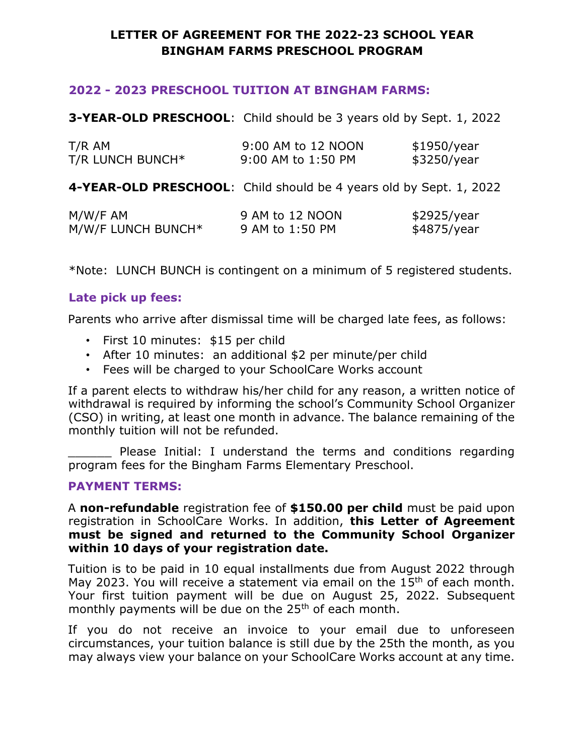# **LETTER OF AGREEMENT FOR THE 2022-23 SCHOOL YEAR BINGHAM FARMS PRESCHOOL PROGRAM**

## **2022 - 2023 PRESCHOOL TUITION AT BINGHAM FARMS:**

**3-YEAR-OLD PRESCHOOL**: Child should be 3 years old by Sept. 1, 2022

| T/R AM           | 9:00 AM to 12 NOON | \$1950/year |
|------------------|--------------------|-------------|
| T/R LUNCH BUNCH* | 9:00 AM to 1:50 PM | \$3250/year |

**4-YEAR-OLD PRESCHOOL**: Child should be 4 years old by Sept. 1, 2022

| $M/W/F$ AM         | 9 AM to 12 NOON | \$2925/year |
|--------------------|-----------------|-------------|
| M/W/F LUNCH BUNCH* | 9 AM to 1:50 PM | \$4875/year |

\*Note: LUNCH BUNCH is contingent on a minimum of 5 registered students.

# **Late pick up fees:**

Parents who arrive after dismissal time will be charged late fees, as follows:

- First 10 minutes: \$15 per child
- After 10 minutes: an additional \$2 per minute/per child
- Fees will be charged to your SchoolCare Works account

If a parent elects to withdraw his/her child for any reason, a written notice of withdrawal is required by informing the school's Community School Organizer (CSO) in writing, at least one month in advance. The balance remaining of the monthly tuition will not be refunded.

Please Initial: I understand the terms and conditions regarding program fees for the Bingham Farms Elementary Preschool.

## **PAYMENT TERMS:**

A **non-refundable** registration fee of **\$150.00 per child** must be paid upon registration in SchoolCare Works. In addition, **this Letter of Agreement must be signed and returned to the Community School Organizer within 10 days of your registration date.**

Tuition is to be paid in 10 equal installments due from August 2022 through May 2023. You will receive a statement via email on the  $15<sup>th</sup>$  of each month. Your first tuition payment will be due on August 25, 2022. Subsequent monthly payments will be due on the 25<sup>th</sup> of each month.

If you do not receive an invoice to your email due to unforeseen circumstances, your tuition balance is still due by the 25th the month, as you may always view your balance on your SchoolCare Works account at any time.